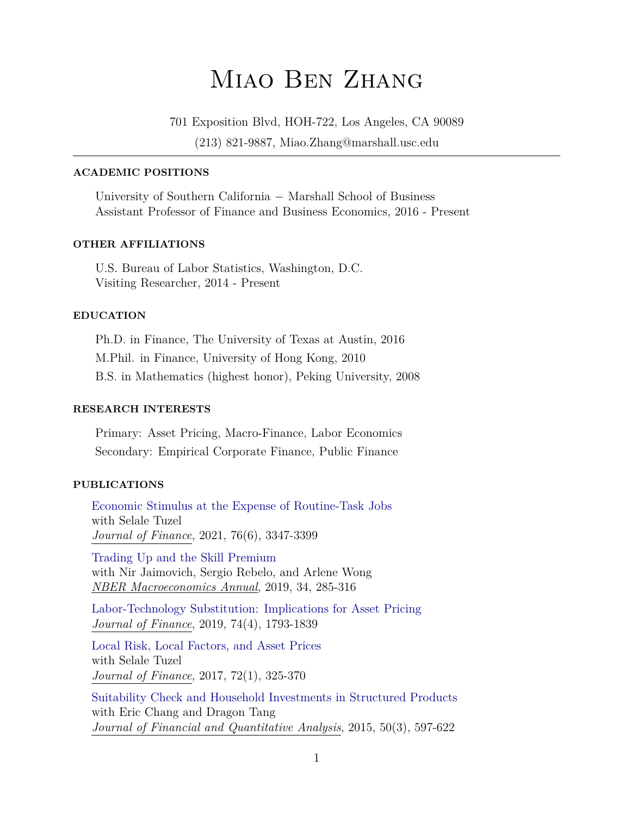# Miao Ben Zhang

701 Exposition Blvd, HOH-722, Los Angeles, CA 90089

(213) 821-9887, Miao.Zhang@marshall.usc.edu

# **ACADEMIC POSITIONS**

University of Southern California − Marshall School of Business Assistant Professor of Finance and Business Economics, 2016 - Present

#### **OTHER AFFILIATIONS**

U.S. Bureau of Labor Statistics, Washington, D.C. Visiting Researcher, 2014 - Present

#### **EDUCATION**

Ph.D. in Finance, The University of Texas at Austin, 2016 M.Phil. in Finance, University of Hong Kong, 2010 B.S. in Mathematics (highest honor), Peking University, 2008

#### **RESEARCH INTERESTS**

Primary: Asset Pricing, Macro-Finance, Labor Economics Secondary: Empirical Corporate Finance, Public Finance

## **PUBLICATIONS**

[Economic Stimulus at the Expense of Routine-Task Jobs](https://onlinelibrary.wiley.com/doi/epdf/10.1111/jofi.13080) with Selale Tuzel *Journal of Finance*, 2021, 76(6), 3347-3399

[Trading Up and the Skill Premium](https://www.nber.org/papers/w25931) with Nir Jaimovich, Sergio Rebelo, and Arlene Wong *NBER Macroeconomics Annual*, 2019, 34, 285-316

[Labor-Technology Substitution: Implications for Asset Pricing](https://onlinelibrary.wiley.com/doi/full/10.1111/jofi.12766) *Journal of Finance*, 2019, 74(4), 1793-1839

[Local Risk, Local Factors, and Asset Prices](https://onlinelibrary.wiley.com/doi/abs/10.1111/jofi.12465) with Selale Tuzel *Journal of Finance*, 2017, 72(1), 325-370

[Suitability Check and Household Investments in Structured Products](https://www.cambridge.org/core/journals/journal-of-financial-and-quantitative-analysis/article/suitability-checks-and-household-investments-in-structured-products/FC0B4EB3662A4CC513E5F65D0A77B6B3) with Eric Chang and Dragon Tang *Journal of Financial and Quantitative Analysis*, 2015, 50(3), 597-622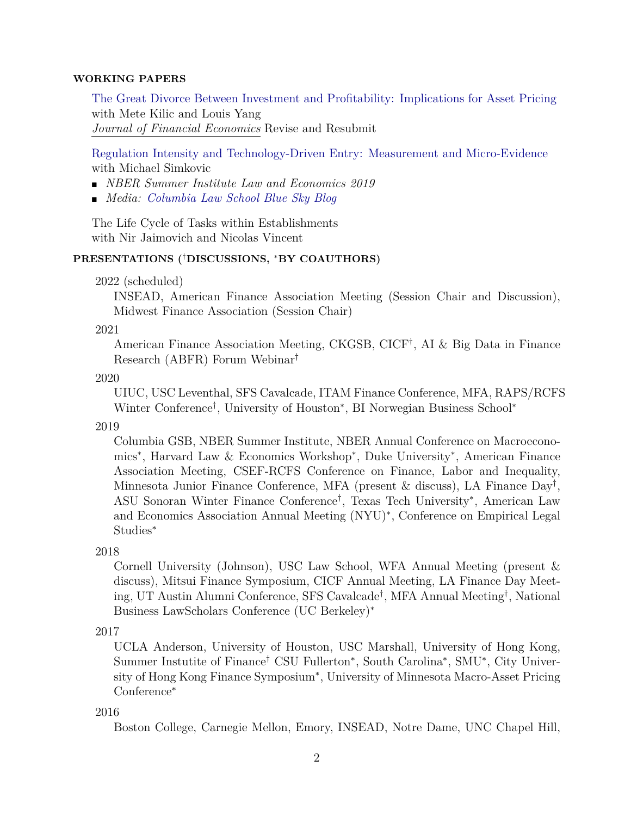## **WORKING PAPERS**

[The Great Divorce Between Investment and Profitability: Implications for Asset Pricing](https://papers.ssrn.com/sol3/papers.cfm?abstract_id=3447685) with Mete Kilic and Louis Yang *Journal of Financial Economics* Revise and Resubmit

[Regulation Intensity and Technology-Driven Entry: Measurement and Micro-Evidence](https://papers.ssrn.com/sol3/papers.cfm?abstract_id=3205589) with Michael Simkovic

- *NBER Summer Institute Law and Economics 2019*
- *Media: [Columbia Law School Blue Sky Blog](http://clsbluesky.law.columbia.edu/2018/08/09/measuring-regulation-based-on-industry-response/)*

The Life Cycle of Tasks within Establishments with Nir Jaimovich and Nicolas Vincent

## **PRESENTATIONS (**†**DISCUSSIONS,** <sup>∗</sup>**BY COAUTHORS)**

2022 (scheduled)

INSEAD, American Finance Association Meeting (Session Chair and Discussion), Midwest Finance Association (Session Chair)

2021

American Finance Association Meeting, CKGSB, CICF† , AI & Big Data in Finance Research (ABFR) Forum Webinar†

2020

UIUC, USC Leventhal, SFS Cavalcade, ITAM Finance Conference, MFA, RAPS/RCFS Winter Conference† , University of Houston<sup>∗</sup> , BI Norwegian Business School<sup>∗</sup>

2019

Columbia GSB, NBER Summer Institute, NBER Annual Conference on Macroeconomics<sup>∗</sup> , Harvard Law & Economics Workshop<sup>∗</sup> , Duke University<sup>∗</sup> , American Finance Association Meeting, CSEF-RCFS Conference on Finance, Labor and Inequality, Minnesota Junior Finance Conference, MFA (present & discuss), LA Finance Day† , ASU Sonoran Winter Finance Conference† , Texas Tech University<sup>∗</sup> , American Law and Economics Association Annual Meeting (NYU)<sup>∗</sup> , Conference on Empirical Legal Studies<sup>∗</sup>

2018

Cornell University (Johnson), USC Law School, WFA Annual Meeting (present & discuss), Mitsui Finance Symposium, CICF Annual Meeting, LA Finance Day Meeting, UT Austin Alumni Conference, SFS Cavalcade† , MFA Annual Meeting† , National Business LawScholars Conference (UC Berkeley)<sup>∗</sup>

2017

UCLA Anderson, University of Houston, USC Marshall, University of Hong Kong, Summer Instutite of Finance<sup>†</sup> CSU Fullerton<sup>\*</sup>, South Carolina<sup>\*</sup>, SMU<sup>\*</sup>, City University of Hong Kong Finance Symposium<sup>∗</sup> , University of Minnesota Macro-Asset Pricing Conference<sup>∗</sup>

#### 2016

Boston College, Carnegie Mellon, Emory, INSEAD, Notre Dame, UNC Chapel Hill,